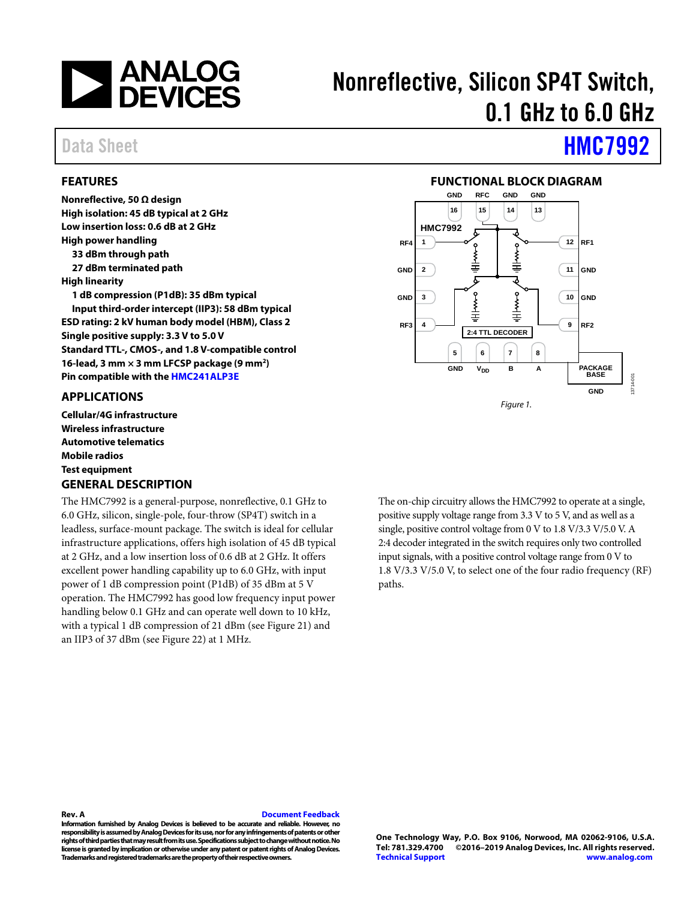

# Nonreflective, Silicon SP4T Switch, 0.1 GHz to 6.0 GHz

### Data Sheet **[HMC7992](https://www.analog.com/HMC7992?doc=HMC7992.pdf)**

**Nonreflective, 50 Ω design** 

**High power handling 33 dBm through path 27 dBm terminated path** 

**High isolation: 45 dB typical at 2 GHz Low insertion loss: 0.6 dB at 2 GHz** 

**Single positive supply: 3.3 V to 5.0 V** 

**1 dB compression (P1dB): 35 dBm typical Input third-order intercept (IIP3): 58 dBm typical ESD rating: 2 kV human body model (HBM), Class 2** 

**Standard TTL-, CMOS-, and 1.8 V-compatible control 16-lead, 3 mm × 3 mm LFCSP package (9 mm2) Pin compatible with th[e HMC241ALP3E](https://www.analog.com/HMC241ALP3E?doc=HMC7992.pdf)**

<span id="page-0-0"></span>**FEATURES** 

**High linearity** 

### **FUNCTIONAL BLOCK DIAGRAM**

<span id="page-0-2"></span>

<span id="page-0-1"></span>**APPLICATIONS Cellular/4G infrastructure Wireless infrastructure** 

**Automotive telematics Mobile radios Test equipment GENERAL DESCRIPTION** 

<span id="page-0-3"></span>The HMC7992 is a general-purpose, nonreflective, 0.1 GHz to 6.0 GHz, silicon, single-pole, four-throw (SP4T) switch in a leadless, surface-mount package. The switch is ideal for cellular infrastructure applications, offers high isolation of 45 dB typical at 2 GHz, and a low insertion loss of 0.6 dB at 2 GHz. It offers excellent power handling capability up to 6.0 GHz, with input power of 1 dB compression point (P1dB) of 35 dBm at 5 V operation. The HMC7992 has good low frequency input power handling below 0.1 GHz and can operate well down to 10 kHz, with a typical 1 dB compression of 21 dBm (see [Figure](#page-8-0) 21) and an IIP3 of 37 dBm (se[e Figure](#page-8-1) 22) at 1 MHz.

The on-chip circuitry allows the HMC7992 to operate at a single, positive supply voltage range from 3.3 V to 5 V, and as well as a single, positive control voltage from 0 V to 1.8 V/3.3 V/5.0 V. A 2:4 decoder integrated in the switch requires only two controlled input signals, with a positive control voltage range from 0 V to 1.8 V/3.3 V/5.0 V, to select one of the four radio frequency (RF) paths.

#### **Rev. A [Document Feedback](https://form.analog.com/Form_Pages/feedback/documentfeedback.aspx?doc=HMC7992.pdf&product=HMC7992&rev=A)**

**Information furnished by Analog Devices is believed to be accurate and reliable. However, no responsibility is assumed by Analog Devices for its use, nor for any infringements of patents or other rights of third parties that may result from its use. Specifications subject to change without notice. No license is granted by implication or otherwise under any patent or patent rights of Analog Devices. Trademarks and registered trademarks are the property of their respective owners.** 

**One Technology Way, P.O. Box 9106, Norwood, MA 02062-9106, U.S.A. Tel: 781.329.4700 ©2016–2019 Analog Devices, Inc. All rights reserved. [Technical Support](http://www.analog.com/en/content/technical_support_page/fca.html) [www.analog.com](http://www.analog.com/)**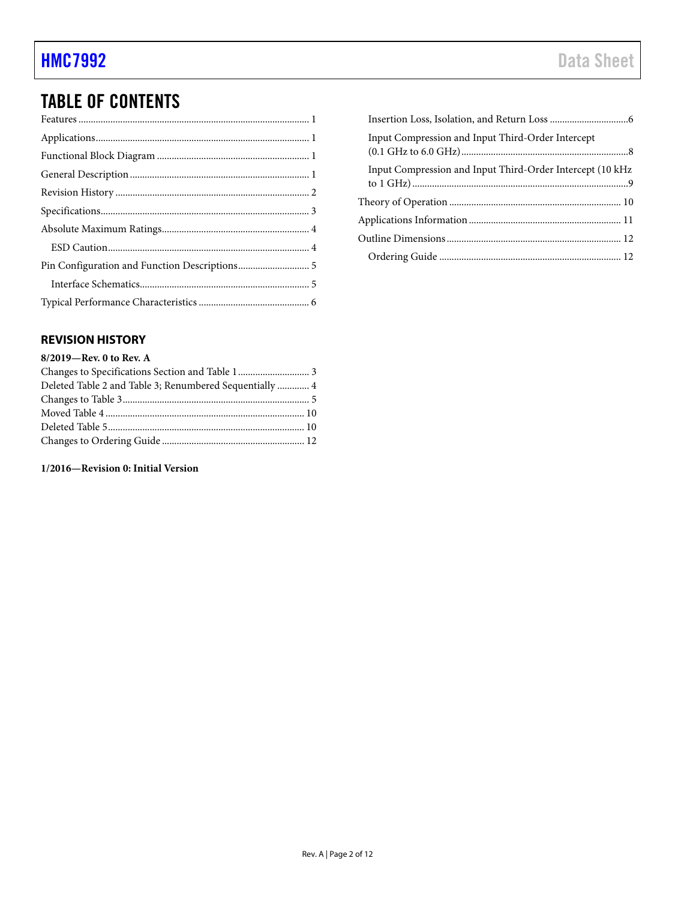## TABLE OF CONTENTS

### <span id="page-1-0"></span>**REVISION HISTORY**

### **8/2019—Rev. 0 to Rev. A**

| Deleted Table 2 and Table 3; Renumbered Sequentially  4 |  |
|---------------------------------------------------------|--|
|                                                         |  |
|                                                         |  |
|                                                         |  |
|                                                         |  |

**1/2016—Revision 0: Initial Version** 

| Input Compression and Input Third-Order Intercept          |  |
|------------------------------------------------------------|--|
| Input Compression and Input Third-Order Intercept (10 kHz) |  |
|                                                            |  |
|                                                            |  |
|                                                            |  |
|                                                            |  |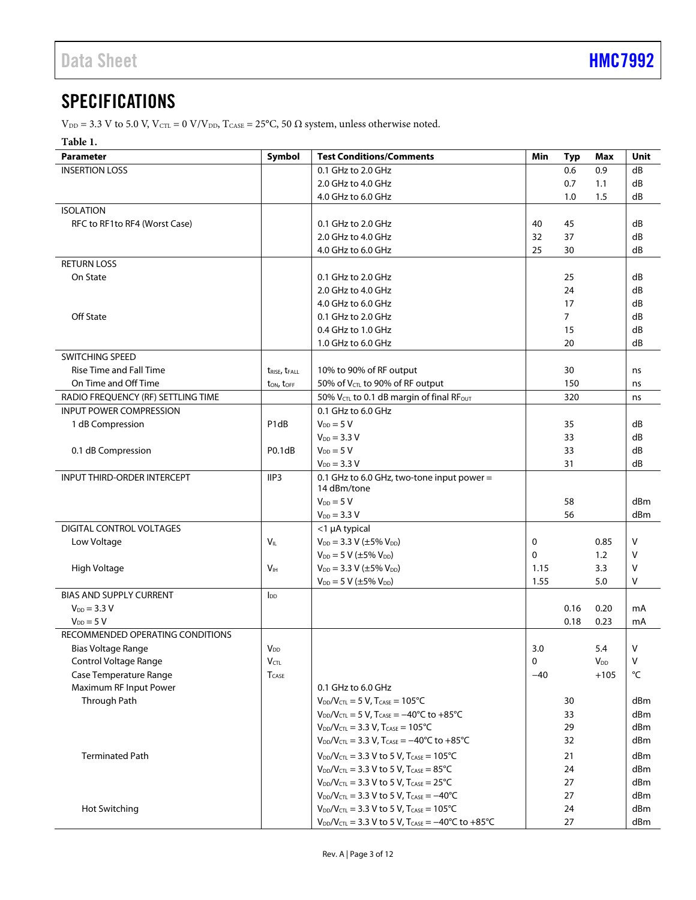### <span id="page-2-0"></span>**SPECIFICATIONS**

 $V_{\text{DD}} = 3.3$  V to 5.0 V,  $V_{\text{CTL}} = 0$  V/V<sub>DD</sub>,  $T_{\text{CASE}} = 25^{\circ}\text{C}$ , 50  $\Omega$  system, unless otherwise noted.

#### <span id="page-2-1"></span>**Table 1.**

| <b>Parameter</b>                   | Symbol                             | <b>Test Conditions/Comments</b>                                                         | Min   | <b>Typ</b>     | Max             | Unit            |
|------------------------------------|------------------------------------|-----------------------------------------------------------------------------------------|-------|----------------|-----------------|-----------------|
| <b>INSERTION LOSS</b>              |                                    | 0.1 GHz to 2.0 GHz                                                                      |       | 0.6            | 0.9             | dB              |
|                                    |                                    | 2.0 GHz to 4.0 GHz                                                                      |       | 0.7            | 1.1             | dB              |
|                                    |                                    | 4.0 GHz to 6.0 GHz                                                                      |       | 1.0            | 1.5             | dB              |
| <b>ISOLATION</b>                   |                                    |                                                                                         |       |                |                 |                 |
| RFC to RF1 to RF4 (Worst Case)     |                                    | 0.1 GHz to 2.0 GHz                                                                      | 40    | 45             |                 | dB              |
|                                    |                                    | 2.0 GHz to 4.0 GHz                                                                      | 32    | 37             |                 | dB              |
|                                    |                                    | 4.0 GHz to 6.0 GHz                                                                      | 25    | 30             |                 | dB              |
| <b>RETURN LOSS</b>                 |                                    |                                                                                         |       |                |                 |                 |
| On State                           |                                    | $0.1$ GHz to $2.0$ GHz                                                                  |       | 25             |                 | dB              |
|                                    |                                    | 2.0 GHz to 4.0 GHz                                                                      |       | 24             |                 | dB              |
|                                    |                                    | 4.0 GHz to 6.0 GHz                                                                      |       | 17             |                 | dB              |
| <b>Off State</b>                   |                                    | 0.1 GHz to 2.0 GHz                                                                      |       | $\overline{7}$ |                 | dB              |
|                                    |                                    | 0.4 GHz to 1.0 GHz                                                                      |       | 15             |                 | dB              |
|                                    |                                    | 1.0 GHz to 6.0 GHz                                                                      |       | 20             |                 | dB              |
| <b>SWITCHING SPEED</b>             |                                    |                                                                                         |       |                |                 |                 |
| <b>Rise Time and Fall Time</b>     | trise, trall                       | 10% to 90% of RF output                                                                 |       | 30             |                 | ns              |
| On Time and Off Time               | ton, toff                          | 50% of V <sub>CTL</sub> to 90% of RF output                                             |       | 150            |                 | ns              |
| RADIO FREQUENCY (RF) SETTLING TIME |                                    | 50% V <sub>CTL</sub> to 0.1 dB margin of final RF <sub>OUT</sub>                        |       | 320            |                 | ns              |
| <b>INPUT POWER COMPRESSION</b>     |                                    | 0.1 GHz to 6.0 GHz                                                                      |       |                |                 |                 |
| 1 dB Compression                   | P <sub>1</sub> d <sub>B</sub>      | $V_{DD} = 5 V$                                                                          |       | 35             |                 | dB              |
|                                    |                                    | $V_{DD} = 3.3 V$                                                                        |       | 33             |                 | dB              |
| 0.1 dB Compression                 | P <sub>0.1</sub> d <sub>B</sub>    | $V_{DD} = 5 V$                                                                          |       | 33             |                 | dB              |
|                                    |                                    | $V_{DD} = 3.3 V$                                                                        |       | 31             |                 | dB              |
| <b>INPUT THIRD-ORDER INTERCEPT</b> | IIP3                               | 0.1 GHz to 6.0 GHz, two-tone input power =                                              |       |                |                 |                 |
|                                    |                                    | 14 dBm/tone                                                                             |       |                |                 |                 |
|                                    |                                    | $V_{DD} = 5 V$                                                                          |       | 58             |                 | dBm             |
|                                    |                                    | $V_{DD} = 3.3 V$                                                                        |       | 56             |                 | dBm             |
| DIGITAL CONTROL VOLTAGES           |                                    | $<$ 1 µA typical                                                                        |       |                |                 |                 |
| Low Voltage                        | $V_{\scriptscriptstyle \text{IL}}$ | $V_{DD} = 3.3 V (\pm 5\% V_{DD})$                                                       | 0     |                | 0.85            | V               |
|                                    |                                    | $V_{DD} = 5 V (\pm 5\% V_{DD})$                                                         | 0     |                | 1.2             | v               |
| High Voltage                       | V <sub>IH</sub>                    | $V_{DD} = 3.3 V (\pm 5\% V_{DD})$                                                       | 1.15  |                | 3.3             | V               |
|                                    |                                    | $V_{DD} = 5 V (\pm 5\% V_{DD})$                                                         | 1.55  |                | 5.0             | v               |
| <b>BIAS AND SUPPLY CURRENT</b>     | $I_{DD}$                           |                                                                                         |       |                |                 |                 |
| $V_{DD} = 3.3 V$                   |                                    |                                                                                         |       | 0.16           | 0.20            | mA              |
| $V_{DD} = 5 V$                     |                                    |                                                                                         |       | 0.18           | 0.23            | mA              |
| RECOMMENDED OPERATING CONDITIONS   |                                    |                                                                                         |       |                |                 |                 |
| Bias Voltage Range                 | <b>V</b> <sub>DD</sub>             |                                                                                         | 3.0   |                | 5.4             | v               |
| Control Voltage Range              | <b>V</b> CTL                       |                                                                                         | 0     |                | V <sub>DD</sub> | v               |
| Case Temperature Range             | <b>T</b> CASE                      |                                                                                         | $-40$ |                | $+105$          | °C              |
| Maximum RF Input Power             |                                    | 0.1 GHz to 6.0 GHz                                                                      |       |                |                 |                 |
| Through Path                       |                                    | $V_{DD}/V_{CTL} = 5 V$ , $T_{CASE} = 105°C$                                             |       | 30             |                 | dBm             |
|                                    |                                    | $V_{DD}/V_{CTL} = 5 V$ , $T_{CASE} = -40^{\circ}C$ to $+85^{\circ}C$                    |       | 33             |                 | dBm             |
|                                    |                                    | $V_{DD}/V_{CTL} = 3.3 V$ , $T_{CASE} = 105°C$                                           |       | 29             |                 | dB <sub>m</sub> |
|                                    |                                    | $V_{DD}/V_{CTL} = 3.3 V$ , $T_{CASE} = -40^{\circ}C$ to $+85^{\circ}C$                  |       | 32             |                 | dBm             |
| <b>Terminated Path</b>             |                                    | $V_{DD}/V_{CTL} = 3.3 V$ to 5 V, $T_{CASE} = 105°C$                                     |       | 21             |                 | dB <sub>m</sub> |
|                                    |                                    | $V_{DD}/V_{CTL} = 3.3 V$ to 5 V, $T_{CASE} = 85°C$                                      |       | 24             |                 | dBm             |
|                                    |                                    | $V_{DD}/V_{CTL} = 3.3 V$ to 5 V, $T_{CASE} = 25°C$                                      |       | 27             |                 | dBm             |
|                                    |                                    | $V_{DD}/V_{CTL} = 3.3 V$ to 5 V, T <sub>CASE</sub> = -40°C                              |       | 27             |                 | dBm             |
|                                    |                                    | $V_{DD}/V_{CTL} = 3.3 V$ to 5 V, T <sub>CASE</sub> = 105°C                              |       | 24             |                 | dBm             |
| Hot Switching                      |                                    | $V_{DD}/V_{CTL} = 3.3$ V to 5 V, T <sub>CASE</sub> = $-40^{\circ}$ C to $+85^{\circ}$ C |       | 27             |                 | dBm             |
|                                    |                                    |                                                                                         |       |                |                 |                 |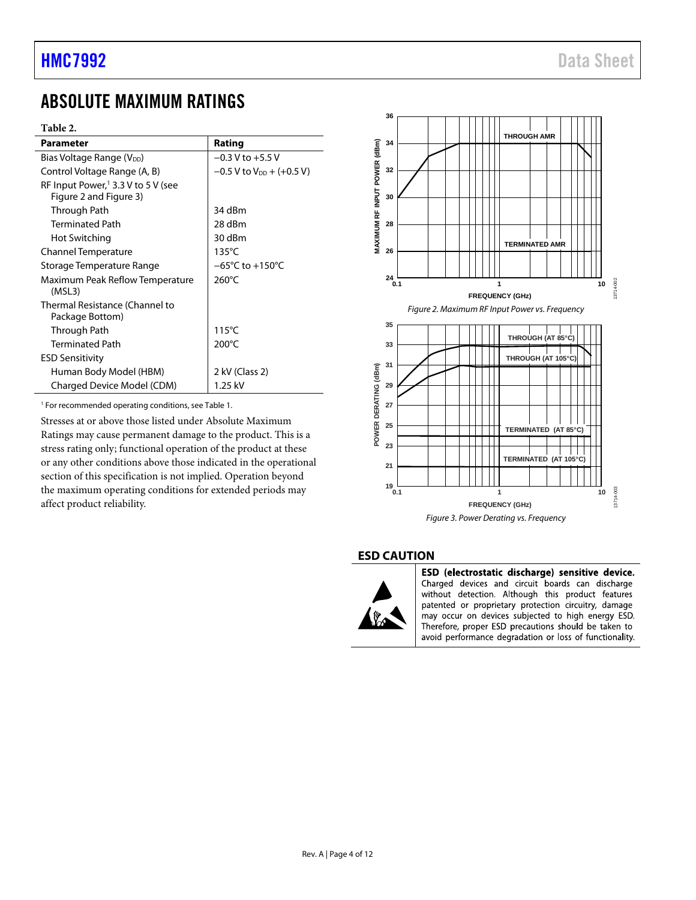## <span id="page-3-0"></span>ABSOLUTE MAXIMUM RATINGS

#### **Table 2.**

| Parameter                                      | Rating                                 |
|------------------------------------------------|----------------------------------------|
| Bias Voltage Range (V <sub>DD</sub> )          | $-0.3$ V to $+5.5$ V                   |
| Control Voltage Range (A, B)                   | $-0.5$ V to V <sub>DD</sub> + (+0.5 V) |
| RF Input Power, <sup>1</sup> 3.3 V to 5 V (see |                                        |
| Figure 2 and Figure 3)                         |                                        |
| Through Path                                   | 34 dBm                                 |
| <b>Terminated Path</b>                         | 28 dBm                                 |
| Hot Switching                                  | 30 dBm                                 |
| Channel Temperature                            | $135^{\circ}$ C                        |
| Storage Temperature Range                      | $-65^{\circ}$ C to $+150^{\circ}$ C    |
| Maximum Peak Reflow Temperature                | 260°C                                  |
| (MSL3)                                         |                                        |
| Thermal Resistance (Channel to                 |                                        |
| Package Bottom)                                |                                        |
| Through Path                                   | $115^{\circ}$ C                        |
| <b>Terminated Path</b>                         | $200^{\circ}$ C                        |
| <b>ESD Sensitivity</b>                         |                                        |
| Human Body Model (HBM)                         | 2 kV (Class 2)                         |
| Charged Device Model (CDM)                     | 1.25 kV                                |

1 For recommended operating conditions, see [Table 1.](#page-2-1) 

Stresses at or above those listed under Absolute Maximum Ratings may cause permanent damage to the product. This is a stress rating only; functional operation of the product at these or any other conditions above those indicated in the operational section of this specification is not implied. Operation beyond the maximum operating conditions for extended periods may affect product reliability.

<span id="page-3-2"></span>

#### <span id="page-3-3"></span><span id="page-3-1"></span>**ESD CAUTION**



ESD (electrostatic discharge) sensitive device. Charged devices and circuit boards can discharge without detection. Although this product features patented or proprietary protection circuitry, damage may occur on devices subjected to high energy ESD. Therefore, proper ESD precautions should be taken to avoid performance degradation or loss of functionality.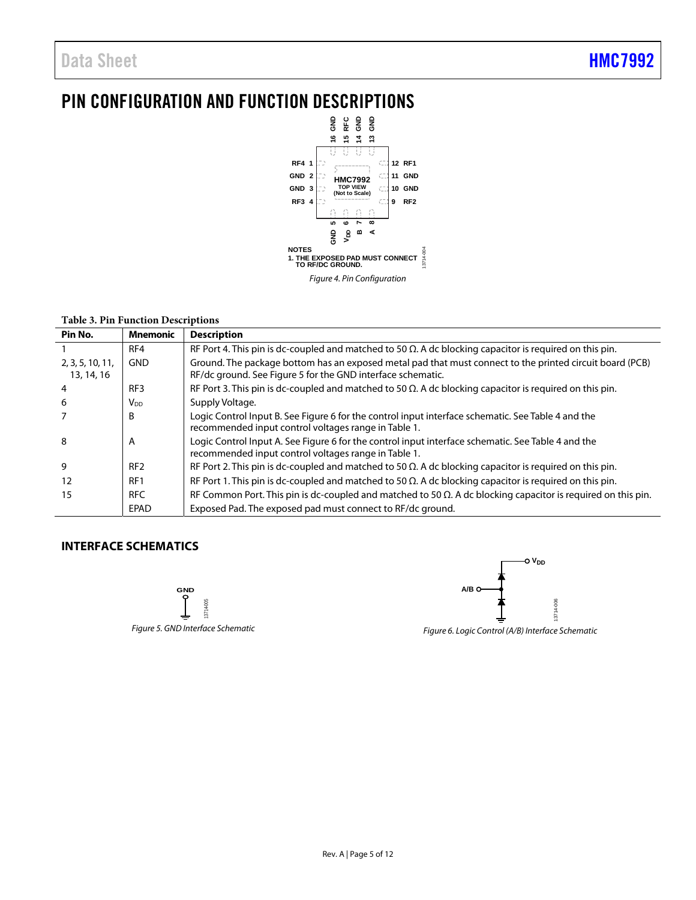## <span id="page-4-0"></span>PIN CONFIGURATION AND FUNCTION DESCRIPTIONS



#### **Table 3. Pin Function Descriptions**

| Pin No.                        | Mnemonic        | <b>Description</b>                                                                                                                                                      |
|--------------------------------|-----------------|-------------------------------------------------------------------------------------------------------------------------------------------------------------------------|
|                                | RF4             | RF Port 4. This pin is dc-coupled and matched to 50 $\Omega$ . A dc blocking capacitor is required on this pin.                                                         |
| 2, 3, 5, 10, 11,<br>13, 14, 16 | <b>GND</b>      | Ground. The package bottom has an exposed metal pad that must connect to the printed circuit board (PCB)<br>RF/dc ground. See Figure 5 for the GND interface schematic. |
| 4                              | RF <sub>3</sub> | RF Port 3. This pin is dc-coupled and matched to 50 $\Omega$ . A dc blocking capacitor is required on this pin.                                                         |
| 6                              | V <sub>DD</sub> | Supply Voltage.                                                                                                                                                         |
|                                | B               | Logic Control Input B. See Figure 6 for the control input interface schematic. See Table 4 and the<br>recommended input control voltages range in Table 1.              |
| 8                              | A               | Logic Control Input A. See Figure 6 for the control input interface schematic. See Table 4 and the<br>recommended input control voltages range in Table 1.              |
| 9                              | RF <sub>2</sub> | RF Port 2. This pin is dc-coupled and matched to 50 $\Omega$ . A dc blocking capacitor is required on this pin.                                                         |
| 12                             | RF <sub>1</sub> | RF Port 1. This pin is dc-coupled and matched to 50 $\Omega$ . A dc blocking capacitor is required on this pin.                                                         |
| 15                             | <b>RFC</b>      | RF Common Port. This pin is dc-coupled and matched to 50 $\Omega$ . A dc blocking capacitor is required on this pin.                                                    |
|                                | EPAD            | Exposed Pad. The exposed pad must connect to RF/dc ground.                                                                                                              |

#### <span id="page-4-1"></span>**INTERFACE SCHEMATICS**

<span id="page-4-2"></span>



<span id="page-4-3"></span>Figure 6. Logic Control (A/B) Interface Schematic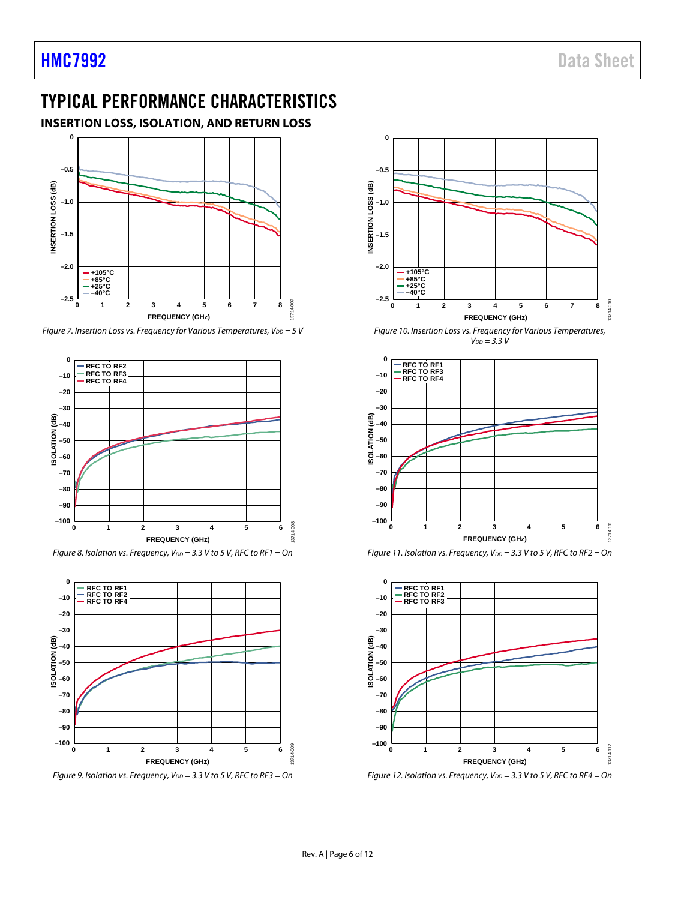### <span id="page-5-0"></span>TYPICAL PERFORMANCE CHARACTERISTICS

<span id="page-5-1"></span>**INSERTION LOSS, ISOLATION, AND RETURN LOSS** 



Figure 7. Insertion Loss vs. Frequency for Various Temperatures,  $V_{DD} = 5$  V



Figure 8. Isolation vs. Frequency,  $V_{DD} = 3.3$  V to 5 V, RFC to RF1 = On



Figure 9. Isolation vs. Frequency,  $V_{DD} = 3.3$  V to 5 V, RFC to RF3 = On



Figure 10. Insertion Loss vs. Frequency for Various Temperatures,  $V_{DD} = 3.3 V$ 



Figure 11. Isolation vs. Frequency,  $V_{DD} = 3.3$  V to 5 V, RFC to RF2 = On



Figure 12. Isolation vs. Frequency,  $V_{DD} = 3.3$  V to 5 V, RFC to RF4 = On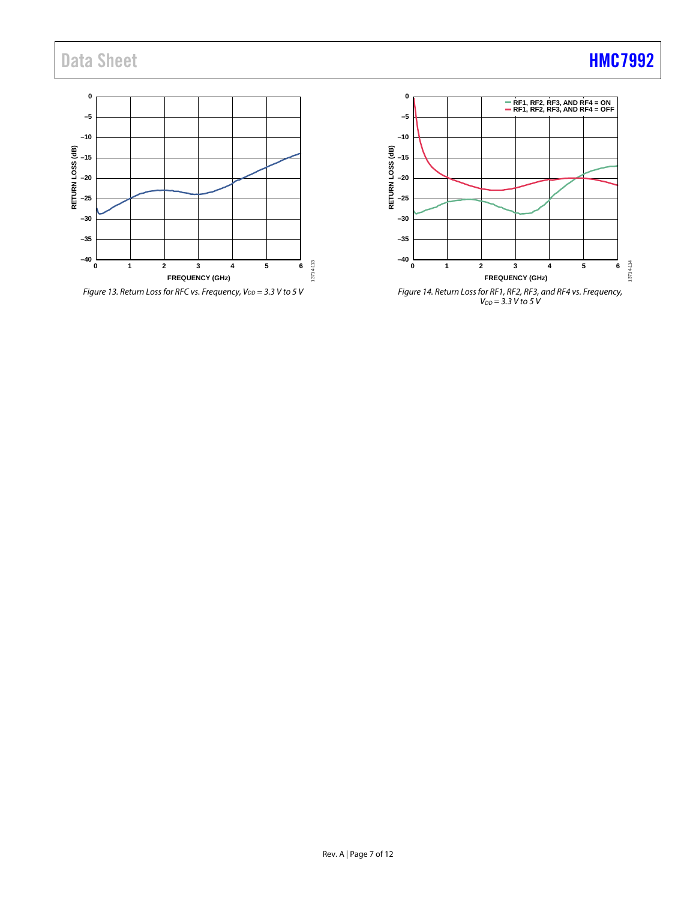## Data Sheet **[HMC7992](https://www.analog.com/HMC7992?doc=HMC7992.pdf)**





Figure 14. Return Loss for RF1, RF2, RF3, and RF4 vs. Frequency,  $V_{DD} = 3.3 V$  to 5 V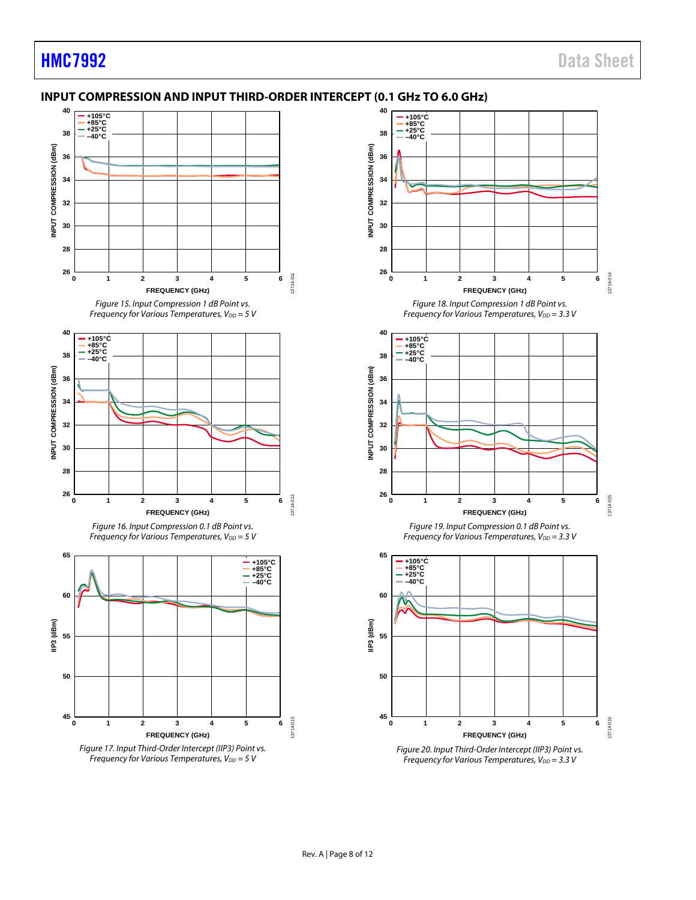### <span id="page-7-0"></span>**INPUT COMPRESSION AND INPUT THIRD-ORDER INTERCEPT (0.1 GHz TO 6.0 GHz)**





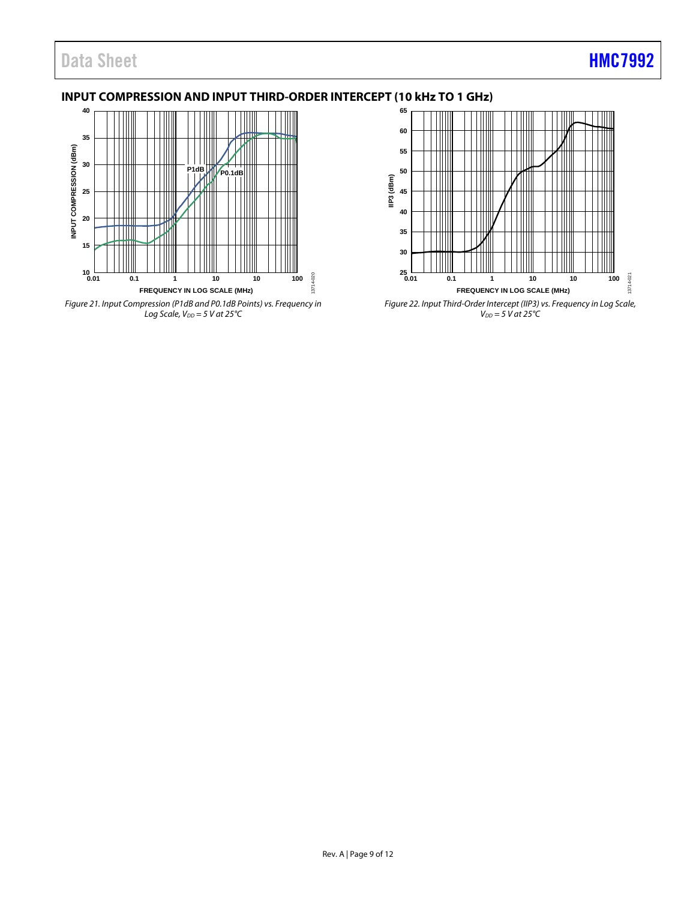### Data Sheet **[HMC7992](https://www.analog.com/HMC7992?doc=HMC7992.pdf)**

### <span id="page-8-2"></span>**INPUT COMPRESSION AND INPUT THIRD-ORDER INTERCEPT (10 kHz TO 1 GHz)**



<span id="page-8-0"></span>Figure 21. Input Compression (P1dB and P0.1dB Points) vs. Frequency in Log Scale,  $V_{DD} = 5$  V at 25 $°C$ 



<span id="page-8-1"></span>Figure 22. Input Third-Order Intercept (IIP3) vs. Frequency in Log Scale,  $V_{DD} = 5$  V at 25 $\degree$ C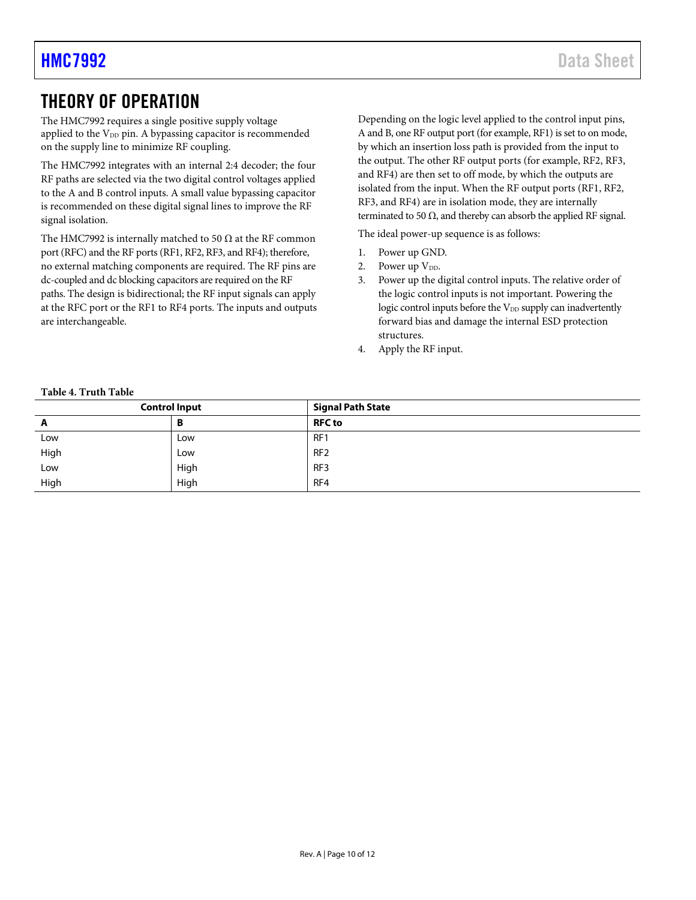### <span id="page-9-0"></span>THEORY OF OPERATION

The HMC7992 requires a single positive supply voltage applied to the  $V_{DD}$  pin. A bypassing capacitor is recommended on the supply line to minimize RF coupling.

The HMC7992 integrates with an internal 2:4 decoder; the four RF paths are selected via the two digital control voltages applied to the A and B control inputs. A small value bypassing capacitor is recommended on these digital signal lines to improve the RF signal isolation.

The HMC7992 is internally matched to 50  $\Omega$  at the RF common port (RFC) and the RF ports (RF1, RF2, RF3, and RF4); therefore, no external matching components are required. The RF pins are dc-coupled and dc blocking capacitors are required on the RF paths. The design is bidirectional; the RF input signals can apply at the RFC port or the RF1 to RF4 ports. The inputs and outputs are interchangeable.

Depending on the logic level applied to the control input pins, A and B, one RF output port (for example, RF1) is set to on mode, by which an insertion loss path is provided from the input to the output. The other RF output ports (for example, RF2, RF3, and RF4) are then set to off mode, by which the outputs are isolated from the input. When the RF output ports (RF1, RF2, RF3, and RF4) are in isolation mode, they are internally terminated to 50  $\Omega$ , and thereby can absorb the applied RF signal.

The ideal power-up sequence is as follows:

- 1. Power up GND.
- 2. Power up  $V_{DD}$ .
- 3. Power up the digital control inputs. The relative order of the logic control inputs is not important. Powering the logic control inputs before the V<sub>DD</sub> supply can inadvertently forward bias and damage the internal ESD protection structures.
- 4. Apply the RF input.

<span id="page-9-1"></span>

| <b>Control Input</b> |      | <b>Signal Path State</b> |
|----------------------|------|--------------------------|
| A                    | D    | <b>RFC</b> to            |
| Low                  | Low  | RF1                      |
| High                 | Low  | RF <sub>2</sub>          |
| Low                  | High | RF <sub>3</sub>          |
| High                 | High | RF4                      |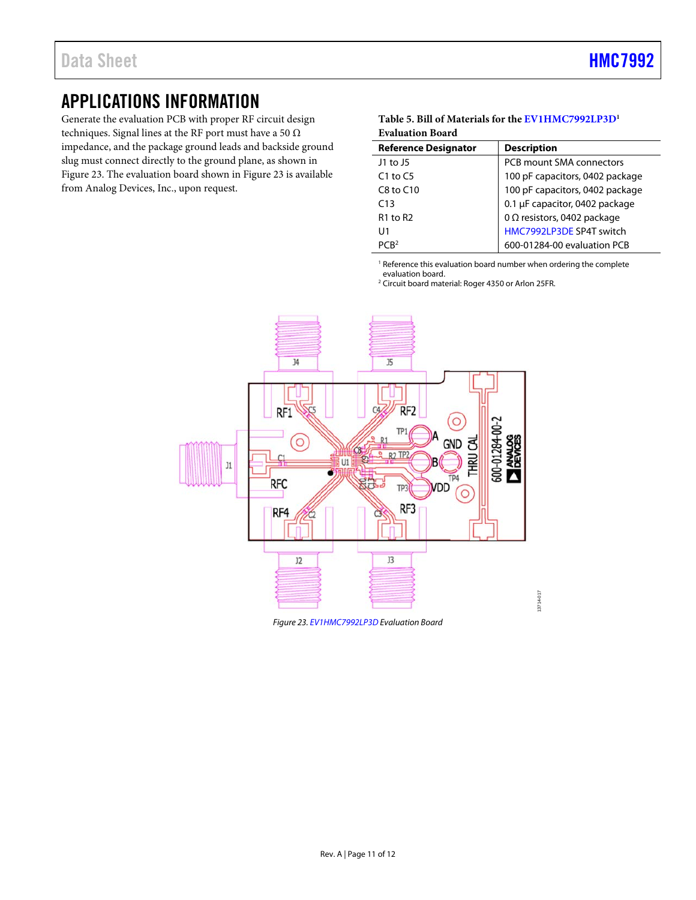### <span id="page-10-0"></span>APPLICATIONS INFORMATION

Generate the evaluation PCB with proper RF circuit design techniques. Signal lines at the RF port must have a 50  $\Omega$ impedance, and the package ground leads and backside ground slug must connect directly to the ground plane, as shown in [Figure 23.](#page-10-1) The evaluation board shown in [Figure 23 i](#page-10-1)s available from Analog Devices, Inc., upon request.

#### **Table 5. Bill of Materials for th[e EV1HMC7992LP3D](http://www.analog.com/HMC7992?doc=HMC7992.pdf)1 Evaluation Board**

| <b>Reference Designator</b> | <b>Description</b>                 |
|-----------------------------|------------------------------------|
| $11$ to $15$                | PCB mount SMA connectors           |
| $C1$ to $C5$                | 100 pF capacitors, 0402 package    |
| $C8$ to $C10$               | 100 pF capacitors, 0402 package    |
| C13                         | 0.1 µF capacitor, 0402 package     |
| $R1$ to $R2$                | 0 $\Omega$ resistors, 0402 package |
| $\cup$ 1                    | HMC7992LP3DE SP4T switch           |
| PCR <sup>2</sup>            | 600-01284-00 evaluation PCB        |

<sup>1</sup> Reference this evaluation board number when ordering the complete

evaluation board. 2 Circuit board material: Roger 4350 or Arlon 25FR.



<span id="page-10-1"></span>Figure 23[. EV1HMC7992LP3D E](http://www.analog.com/HMC7992?doc=HMC7992.pdf)valuation Board